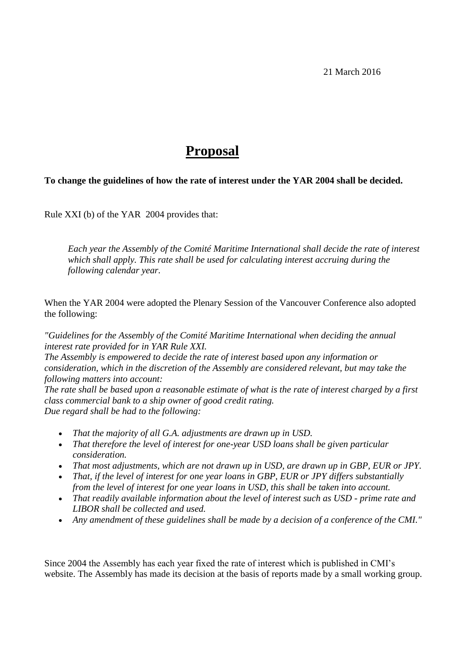21 March 2016

## **Proposal**

## **To change the guidelines of how the rate of interest under the YAR 2004 shall be decided.**

Rule XXI (b) of the YAR 2004 provides that:

*Each year the Assembly of the Comité Maritime International shall decide the rate of interest which shall apply. This rate shall be used for calculating interest accruing during the following calendar year.*

When the YAR 2004 were adopted the Plenary Session of the Vancouver Conference also adopted the following:

*"Guidelines for the Assembly of the Comité Maritime International when deciding the annual interest rate provided for in YAR Rule XXI.*

*The Assembly is empowered to decide the rate of interest based upon any information or consideration, which in the discretion of the Assembly are considered relevant, but may take the following matters into account:* 

*The rate shall be based upon a reasonable estimate of what is the rate of interest charged by a first class commercial bank to a ship owner of good credit rating. Due regard shall be had to the following:*

- *That the majority of all G.A. adjustments are drawn up in USD.*
- *That therefore the level of interest for one-year USD loans shall be given particular consideration.*
- *That most adjustments, which are not drawn up in USD, are drawn up in GBP, EUR or JPY.*
- *That, if the level of interest for one year loans in GBP, EUR or JPY differs substantially from the level of interest for one year loans in USD, this shall be taken into account.*
- *That readily available information about the level of interest such as USD - prime rate and LIBOR shall be collected and used.*
- *Any amendment of these guidelines shall be made by a decision of a conference of the CMI."*

Since 2004 the Assembly has each year fixed the rate of interest which is published in CMI's website. The Assembly has made its decision at the basis of reports made by a small working group.